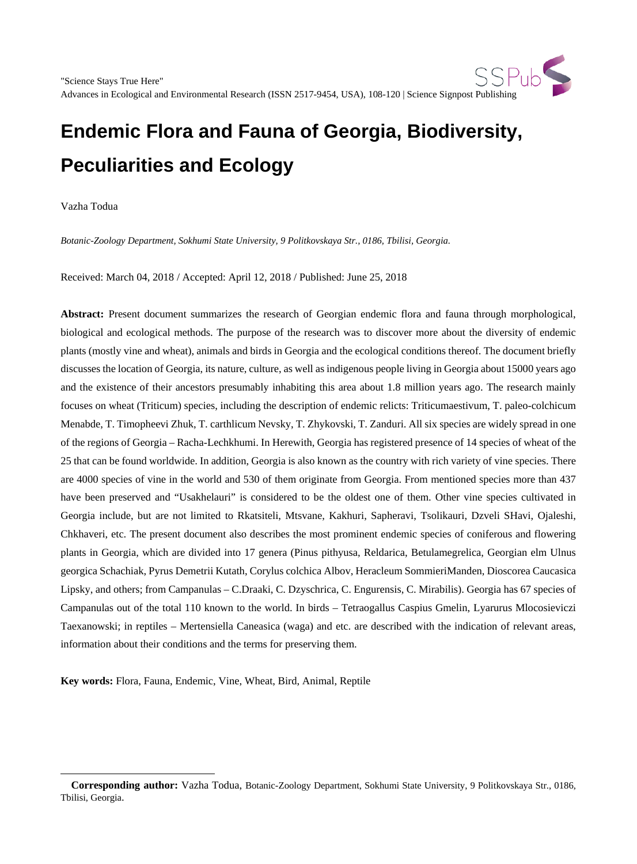Vazha Todua

 $\overline{a}$ 

*Botanic-Zoology Department, Sokhumi State University, 9 Politkovskaya Str., 0186, Tbilisi, Georgia.*

Received: March 04, 2018 / Accepted: April 12, 2018 / Published: June 25, 2018

**Abstract:** Present document summarizes the research of Georgian endemic flora and fauna through morphological, biological and ecological methods. The purpose of the research was to discover more about the diversity of endemic plants (mostly vine and wheat), animals and birds in Georgia and the ecological conditions thereof. The document briefly discusses the location of Georgia, its nature, culture, as well as indigenous people living in Georgia about 15000 years ago and the existence of their ancestors presumably inhabiting this area about 1.8 million years ago. The research mainly focuses on wheat (Triticum) species, including the description of endemic relicts: Triticumaestivum, T. paleo-colchicum Menabde, T. Timopheevi Zhuk, T. carthlicum Nevsky, T. Zhykovski, T. Zanduri. All six species are widely spread in one of the regions of Georgia – Racha-Lechkhumi. In Herewith, Georgia has registered presence of 14 species of wheat of the 25 that can be found worldwide. In addition, Georgia is also known as the country with rich variety of vine species. There are 4000 species of vine in the world and 530 of them originate from Georgia. From mentioned species more than 437 have been preserved and "Usakhelauri" is considered to be the oldest one of them. Other vine species cultivated in Georgia include, but are not limited to Rkatsiteli, Mtsvane, Kakhuri, Sapheravi, Tsolikauri, Dzveli SHavi, Ojaleshi, Chkhaveri, etc. The present document also describes the most prominent endemic species of coniferous and flowering plants in Georgia, which are divided into 17 genera (Pinus pithyusa, Reldarica, Betulamegrelica, Georgian elm Ulnus georgica Schachiak, Pyrus Demetrii Kutath, Corylus colchica Albov, Heracleum SommieriManden, Dioscorea Caucasica Lipsky, and others; from Campanulas – C.Draaki, C. Dzyschrica, C. Engurensis, C. Mirabilis). Georgia has 67 species of Campanulas out of the total 110 known to the world. In birds – Tetraogallus Caspius Gmelin, Lyarurus Mlocosieviczi Taexanowski; in reptiles – Mertensiella Caneasica (waga) and etc. are described with the indication of relevant areas, information about their conditions and the terms for preserving them.

**Key words:** Flora, Fauna, Endemic, Vine, Wheat, Bird, Animal, Reptile

<span id="page-0-0"></span>**Corresponding author:** Vazha Todua, Botanic-Zoology Department, Sokhumi State University, 9 Politkovskaya Str., 0186, Tbilisi, Georgia.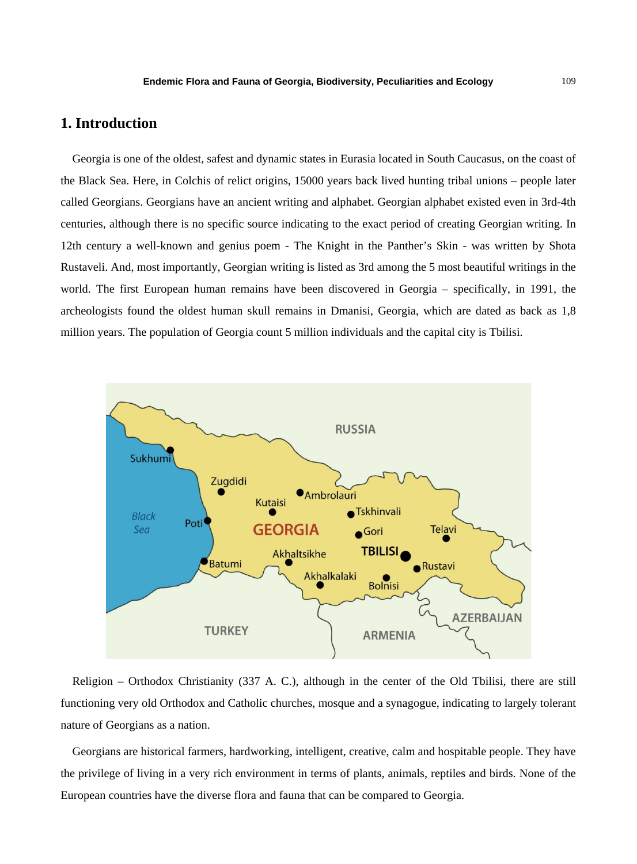# **1. Introduction**

Georgia is one of the oldest, safest and dynamic states in Eurasia located in South Caucasus, on the coast of the Black Sea. Here, in Colchis of relict origins, 15000 years back lived hunting tribal unions – people later called Georgians. Georgians have an ancient writing and alphabet. Georgian alphabet existed even in 3rd-4th centuries, although there is no specific source indicating to the exact period of creating Georgian writing. In 12th century a well-known and genius poem - The Knight in the Panther's Skin - was written by Shota Rustaveli. And, most importantly, Georgian writing is listed as 3rd among the 5 most beautiful writings in the world. The first European human remains have been discovered in Georgia – specifically, in 1991, the archeologists found the oldest human skull remains in Dmanisi, Georgia, which are dated as back as 1,8 million years. The population of Georgia count 5 million individuals and the capital city is Tbilisi.



Religion – Orthodox Christianity (337 A. C.), although in the center of the Old Tbilisi, there are still functioning very old Orthodox and Catholic churches, mosque and a synagogue, indicating to largely tolerant nature of Georgians as a nation.

Georgians are historical farmers, hardworking, intelligent, creative, calm and hospitable people. They have the privilege of living in a very rich environment in terms of plants, animals, reptiles and birds. None of the European countries have the diverse flora and fauna that can be compared to Georgia.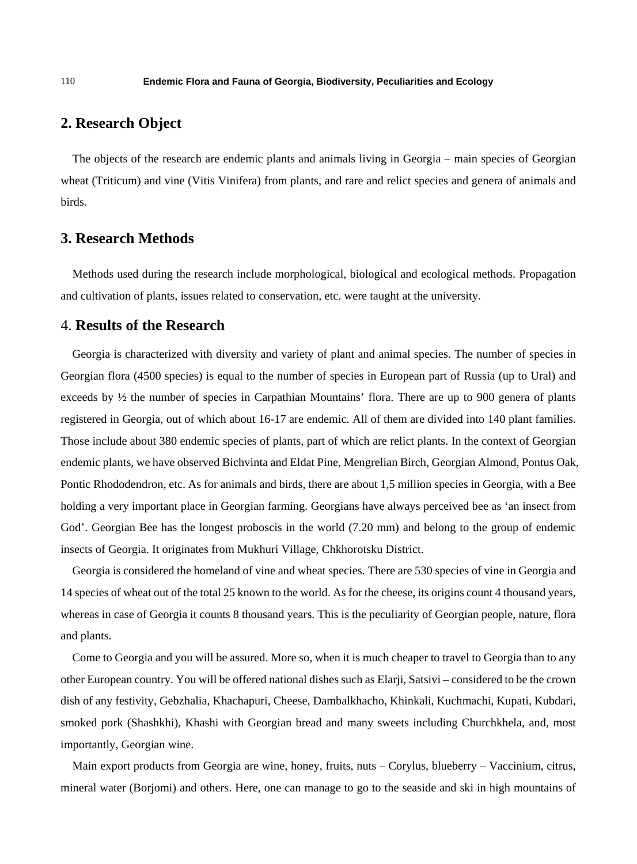## **2. Research Object**

The objects of the research are endemic plants and animals living in Georgia – main species of Georgian wheat (Triticum) and vine (Vitis Vinifera) from plants, and rare and relict species and genera of animals and birds.

## **3. Research Methods**

Methods used during the research include morphological, biological and ecological methods. Propagation and cultivation of plants, issues related to conservation, etc. were taught at the university.

### 4. **Results of the Research**

Georgia is characterized with diversity and variety of plant and animal species. The number of species in Georgian flora (4500 species) is equal to the number of species in European part of Russia (up to Ural) and exceeds by ½ the number of species in Carpathian Mountains' flora. There are up to 900 genera of plants registered in Georgia, out of which about 16-17 are endemic. All of them are divided into 140 plant families. Those include about 380 endemic species of plants, part of which are relict plants. In the context of Georgian endemic plants, we have observed Bichvinta and Eldat Pine, Mengrelian Birch, Georgian Almond, Pontus Oak, Pontic Rhododendron, etc. As for animals and birds, there are about 1,5 million species in Georgia, with a Bee holding a very important place in Georgian farming. Georgians have always perceived bee as 'an insect from God'. Georgian Bee has the longest proboscis in the world (7.20 mm) and belong to the group of endemic insects of Georgia. It originates from Mukhuri Village, Chkhorotsku District.

Georgia is considered the homeland of vine and wheat species. There are 530 species of vine in Georgia and 14 species of wheat out of the total 25 known to the world. As for the cheese, its origins count 4 thousand years, whereas in case of Georgia it counts 8 thousand years. This is the peculiarity of Georgian people, nature, flora and plants.

Come to Georgia and you will be assured. More so, when it is much cheaper to travel to Georgia than to any other European country. You will be offered national dishes such as Elarji, Satsivi – considered to be the crown dish of any festivity, Gebzhalia, Khachapuri, Cheese, Dambalkhacho, Khinkali, Kuchmachi, Kupati, Kubdari, smoked pork (Shashkhi), Khashi with Georgian bread and many sweets including Churchkhela, and, most importantly, Georgian wine.

Main export products from Georgia are wine, honey, fruits, nuts – Corylus, blueberry – Vaccinium, citrus, mineral water (Borjomi) and others. Here, one can manage to go to the seaside and ski in high mountains of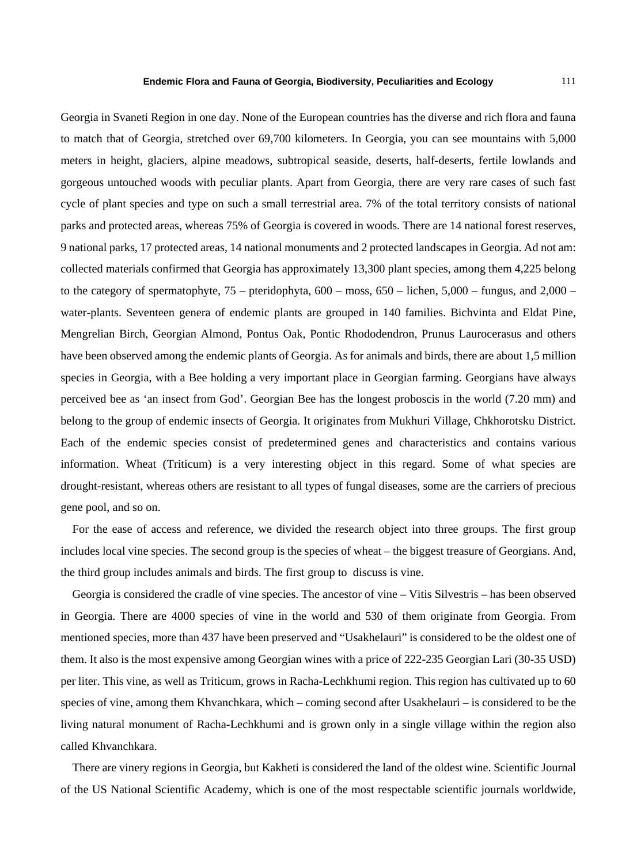Georgia in Svaneti Region in one day. None of the European countries has the diverse and rich flora and fauna to match that of Georgia, stretched over 69,700 kilometers. In Georgia, you can see mountains with 5,000 meters in height, glaciers, alpine meadows, subtropical seaside, deserts, half-deserts, fertile lowlands and gorgeous untouched woods with peculiar plants. Apart from Georgia, there are very rare cases of such fast cycle of plant species and type on such a small terrestrial area. 7% of the total territory consists of national parks and protected areas, whereas 75% of Georgia is covered in woods. There are 14 national forest reserves, 9 national parks, 17 protected areas, 14 national monuments and 2 protected landscapes in Georgia. Ad not am: collected materials confirmed that Georgia has approximately 13,300 plant species, among them 4,225 belong to the category of spermatophyte,  $75$  – pteridophyta,  $600$  – moss,  $650$  – lichen,  $5,000$  – fungus, and  $2,000$  – water-plants. Seventeen genera of endemic plants are grouped in 140 families. Bichvinta and Eldat Pine, Mengrelian Birch, Georgian Almond, Pontus Oak, Pontic Rhododendron, Prunus Laurocerasus and others have been observed among the endemic plants of Georgia. As for animals and birds, there are about 1,5 million species in Georgia, with a Bee holding a very important place in Georgian farming. Georgians have always perceived bee as 'an insect from God'. Georgian Bee has the longest proboscis in the world (7.20 mm) and belong to the group of endemic insects of Georgia. It originates from Mukhuri Village, Chkhorotsku District. Each of the endemic species consist of predetermined genes and characteristics and contains various information. Wheat (Triticum) is a very interesting object in this regard. Some of what species are drought-resistant, whereas others are resistant to all types of fungal diseases, some are the carriers of precious gene pool, and so on.

For the ease of access and reference, we divided the research object into three groups. The first group includes local vine species. The second group is the species of wheat – the biggest treasure of Georgians. And, the third group includes animals and birds. The first group to discuss is vine.

Georgia is considered the cradle of vine species. The ancestor of vine – Vitis Silvestris – has been observed in Georgia. There are 4000 species of vine in the world and 530 of them originate from Georgia. From mentioned species, more than 437 have been preserved and "Usakhelauri" is considered to be the oldest one of them. It also is the most expensive among Georgian wines with a price of 222-235 Georgian Lari (30-35 USD) per liter. This vine, as well as Triticum, grows in Racha-Lechkhumi region. This region has cultivated up to 60 species of vine, among them Khvanchkara, which – coming second after Usakhelauri – is considered to be the living natural monument of Racha-Lechkhumi and is grown only in a single village within the region also called Khvanchkara.

There are vinery regions in Georgia, but Kakheti is considered the land of the oldest wine. Scientific Journal of the US National Scientific Academy, which is one of the most respectable scientific journals worldwide,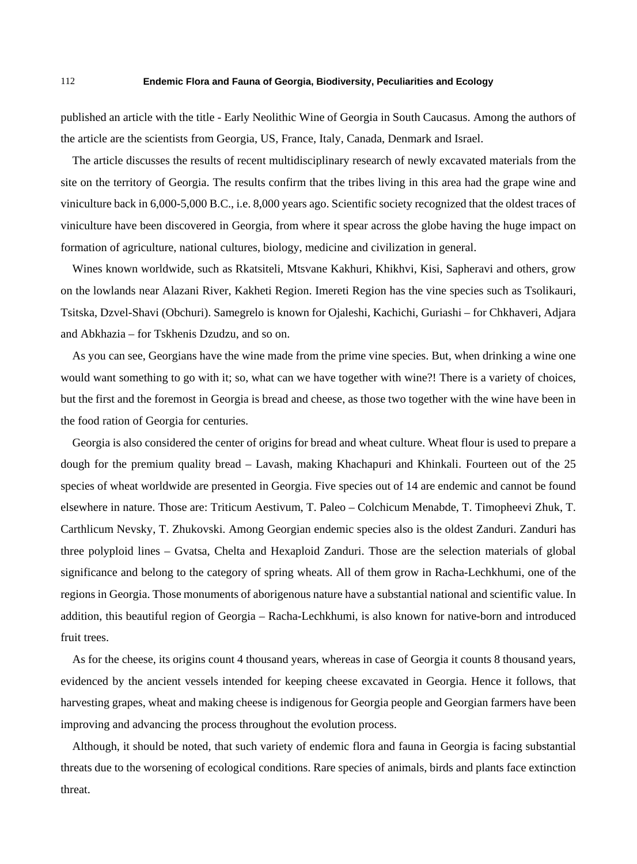published an article with the title - Early Neolithic Wine of Georgia in South Caucasus. Among the authors of the article are the scientists from Georgia, US, France, Italy, Canada, Denmark and Israel.

The article discusses the results of recent multidisciplinary research of newly excavated materials from the site on the territory of Georgia. The results confirm that the tribes living in this area had the grape wine and viniculture back in 6,000-5,000 B.C., i.e. 8,000 years ago. Scientific society recognized that the oldest traces of viniculture have been discovered in Georgia, from where it spear across the globe having the huge impact on formation of agriculture, national cultures, biology, medicine and civilization in general.

Wines known worldwide, such as Rkatsiteli, Mtsvane Kakhuri, Khikhvi, Kisi, Sapheravi and others, grow on the lowlands near Alazani River, Kakheti Region. Imereti Region has the vine species such as Tsolikauri, Tsitska, Dzvel-Shavi (Obchuri). Samegrelo is known for Ojaleshi, Kachichi, Guriashi – for Chkhaveri, Adjara and Abkhazia – for Tskhenis Dzudzu, and so on.

As you can see, Georgians have the wine made from the prime vine species. But, when drinking a wine one would want something to go with it; so, what can we have together with wine?! There is a variety of choices, but the first and the foremost in Georgia is bread and cheese, as those two together with the wine have been in the food ration of Georgia for centuries.

Georgia is also considered the center of origins for bread and wheat culture. Wheat flour is used to prepare a dough for the premium quality bread – Lavash, making Khachapuri and Khinkali. Fourteen out of the 25 species of wheat worldwide are presented in Georgia. Five species out of 14 are endemic and cannot be found elsewhere in nature. Those are: Triticum Aestivum, T. Paleo – Colchicum Menabde, T. Timopheevi Zhuk, T. Carthlicum Nevsky, T. Zhukovski. Among Georgian endemic species also is the oldest Zanduri. Zanduri has three polyploid lines – Gvatsa, Chelta and Hexaploid Zanduri. Those are the selection materials of global significance and belong to the category of spring wheats. All of them grow in Racha-Lechkhumi, one of the regions in Georgia. Those monuments of aborigenous nature have a substantial national and scientific value. In addition, this beautiful region of Georgia – Racha-Lechkhumi, is also known for native-born and introduced fruit trees.

As for the cheese, its origins count 4 thousand years, whereas in case of Georgia it counts 8 thousand years, evidenced by the ancient vessels intended for keeping cheese excavated in Georgia. Hence it follows, that harvesting grapes, wheat and making cheese is indigenous for Georgia people and Georgian farmers have been improving and advancing the process throughout the evolution process.

Although, it should be noted, that such variety of endemic flora and fauna in Georgia is facing substantial threats due to the worsening of ecological conditions. Rare species of animals, birds and plants face extinction threat.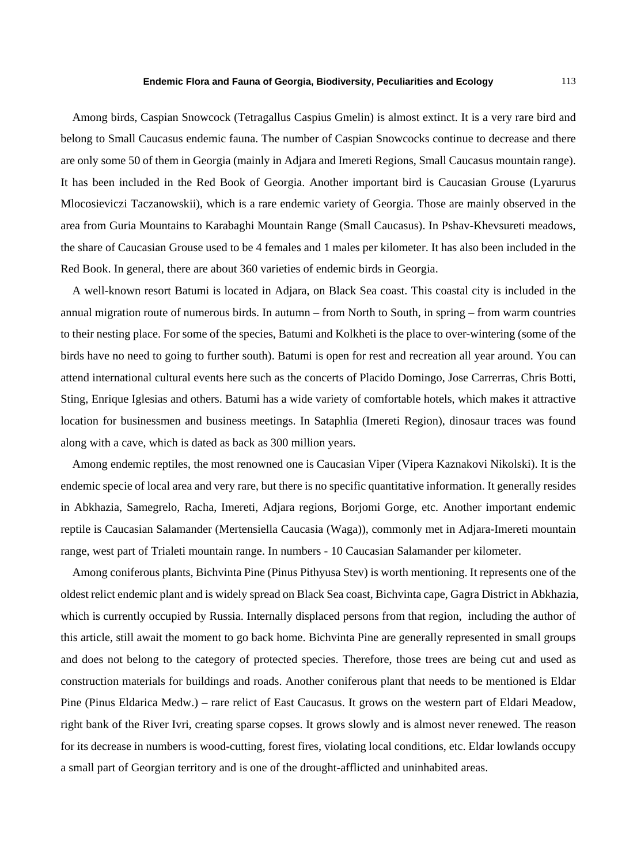Among birds, Caspian Snowcock (Tetragallus Caspius Gmelin) is almost extinct. It is a very rare bird and belong to Small Caucasus endemic fauna. The number of Caspian Snowcocks continue to decrease and there are only some 50 of them in Georgia (mainly in Adjara and Imereti Regions, Small Caucasus mountain range). It has been included in the Red Book of Georgia. Another important bird is Caucasian Grouse (Lyarurus Mlocosieviczi Taczanowskii), which is a rare endemic variety of Georgia. Those are mainly observed in the area from Guria Mountains to Karabaghi Mountain Range (Small Caucasus). In Pshav-Khevsureti meadows, the share of Caucasian Grouse used to be 4 females and 1 males per kilometer. It has also been included in the Red Book. In general, there are about 360 varieties of endemic birds in Georgia.

A well-known resort Batumi is located in Adjara, on Black Sea coast. This coastal city is included in the annual migration route of numerous birds. In autumn – from North to South, in spring – from warm countries to their nesting place. For some of the species, Batumi and Kolkheti is the place to over-wintering (some of the birds have no need to going to further south). Batumi is open for rest and recreation all year around. You can attend international cultural events here such as the concerts of Placido Domingo, Jose Carrerras, Chris Botti, Sting, Enrique Iglesias and others. Batumi has a wide variety of comfortable hotels, which makes it attractive location for businessmen and business meetings. In Sataphlia (Imereti Region), dinosaur traces was found along with a cave, which is dated as back as 300 million years.

Among endemic reptiles, the most renowned one is Caucasian Viper (Vipera Kaznakovi Nikolski). It is the endemic specie of local area and very rare, but there is no specific quantitative information. It generally resides in Abkhazia, Samegrelo, Racha, Imereti, Adjara regions, Borjomi Gorge, etc. Another important endemic reptile is Caucasian Salamander (Mertensiella Caucasia (Waga)), commonly met in Adjara-Imereti mountain range, west part of Trialeti mountain range. In numbers - 10 Caucasian Salamander per kilometer.

Among coniferous plants, Bichvinta Pine (Pinus Pithyusa Stev) is worth mentioning. It represents one of the oldest relict endemic plant and is widely spread on Black Sea coast, Bichvinta cape, Gagra District in Abkhazia, which is currently occupied by Russia. Internally displaced persons from that region, including the author of this article, still await the moment to go back home. Bichvinta Pine are generally represented in small groups and does not belong to the category of protected species. Therefore, those trees are being cut and used as construction materials for buildings and roads. Another coniferous plant that needs to be mentioned is Eldar Pine (Pinus Eldarica Medw.) – rare relict of East Caucasus. It grows on the western part of Eldari Meadow, right bank of the River Ivri, creating sparse copses. It grows slowly and is almost never renewed. The reason for its decrease in numbers is wood-cutting, forest fires, violating local conditions, etc. Eldar lowlands occupy a small part of Georgian territory and is one of the drought-afflicted and uninhabited areas.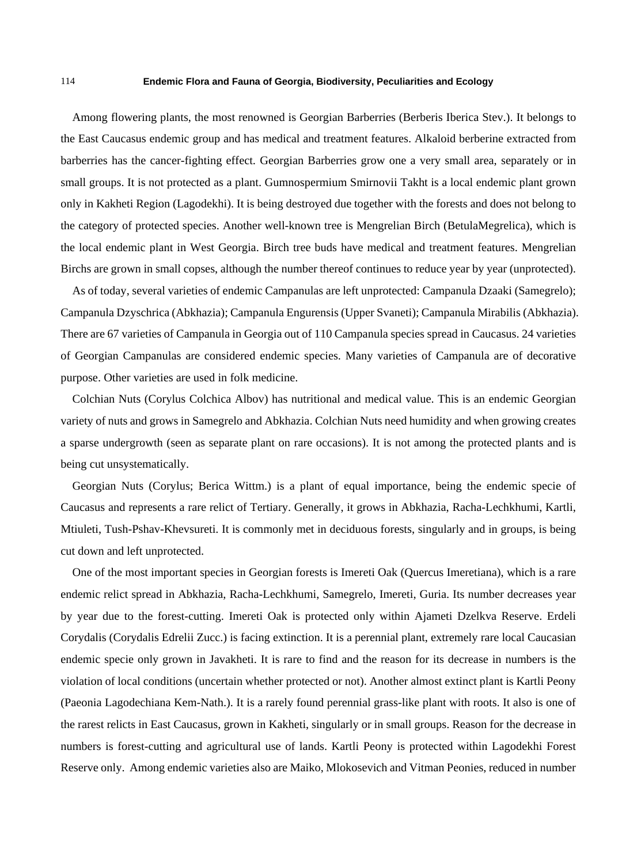Among flowering plants, the most renowned is Georgian Barberries (Berberis Iberica Stev.). It belongs to the East Caucasus endemic group and has medical and treatment features. Alkaloid berberine extracted from barberries has the cancer-fighting effect. Georgian Barberries grow one a very small area, separately or in small groups. It is not protected as a plant. Gumnospermium Smirnovii Takht is a local endemic plant grown only in Kakheti Region (Lagodekhi). It is being destroyed due together with the forests and does not belong to the category of protected species. Another well-known tree is Mengrelian Birch (BetulaMegrelica), which is the local endemic plant in West Georgia. Birch tree buds have medical and treatment features. Mengrelian Birchs are grown in small copses, although the number thereof continues to reduce year by year (unprotected).

As of today, several varieties of endemic Campanulas are left unprotected: Campanula Dzaaki (Samegrelo); Campanula Dzyschrica (Abkhazia); Campanula Engurensis (Upper Svaneti); Campanula Mirabilis (Abkhazia). There are 67 varieties of Campanula in Georgia out of 110 Campanula species spread in Caucasus. 24 varieties of Georgian Campanulas are considered endemic species. Many varieties of Campanula are of decorative purpose. Other varieties are used in folk medicine.

Colchian Nuts (Corylus Colchica Albov) has nutritional and medical value. This is an endemic Georgian variety of nuts and grows in Samegrelo and Abkhazia. Colchian Nuts need humidity and when growing creates a sparse undergrowth (seen as separate plant on rare occasions). It is not among the protected plants and is being cut unsystematically.

Georgian Nuts (Corylus; Berica Wittm.) is a plant of equal importance, being the endemic specie of Caucasus and represents a rare relict of Tertiary. Generally, it grows in Abkhazia, Racha-Lechkhumi, Kartli, Mtiuleti, Tush-Pshav-Khevsureti. It is commonly met in deciduous forests, singularly and in groups, is being cut down and left unprotected.

One of the most important species in Georgian forests is Imereti Oak (Quercus Imeretiana), which is a rare endemic relict spread in Abkhazia, Racha-Lechkhumi, Samegrelo, Imereti, Guria. Its number decreases year by year due to the forest-cutting. Imereti Oak is protected only within Ajameti Dzelkva Reserve. Erdeli Corydalis (Corydalis Edrelii Zucc.) is facing extinction. It is a perennial plant, extremely rare local Caucasian endemic specie only grown in Javakheti. It is rare to find and the reason for its decrease in numbers is the violation of local conditions (uncertain whether protected or not). Another almost extinct plant is Kartli Peony (Paeonia Lagodechiana Kem-Nath.). It is a rarely found perennial grass-like plant with roots. It also is one of the rarest relicts in East Caucasus, grown in Kakheti, singularly or in small groups. Reason for the decrease in numbers is forest-cutting and agricultural use of lands. Kartli Peony is protected within Lagodekhi Forest Reserve only. Among endemic varieties also are Maiko, Mlokosevich and Vitman Peonies, reduced in number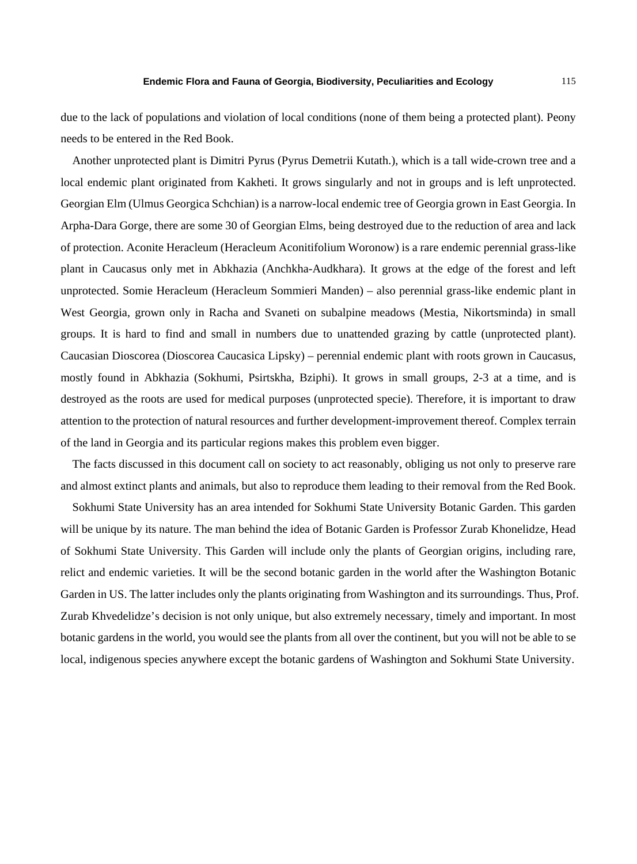due to the lack of populations and violation of local conditions (none of them being a protected plant). Peony needs to be entered in the Red Book.

Another unprotected plant is Dimitri Pyrus (Pyrus Demetrii Kutath.), which is a tall wide-crown tree and a local endemic plant originated from Kakheti. It grows singularly and not in groups and is left unprotected. Georgian Elm (Ulmus Georgica Schchian) is a narrow-local endemic tree of Georgia grown in East Georgia. In Arpha-Dara Gorge, there are some 30 of Georgian Elms, being destroyed due to the reduction of area and lack of protection. Aconite Heracleum (Heracleum Aconitifolium Woronow) is a rare endemic perennial grass-like plant in Caucasus only met in Abkhazia (Anchkha-Audkhara). It grows at the edge of the forest and left unprotected. Somie Heracleum (Heracleum Sommieri Manden) – also perennial grass-like endemic plant in West Georgia, grown only in Racha and Svaneti on subalpine meadows (Mestia, Nikortsminda) in small groups. It is hard to find and small in numbers due to unattended grazing by cattle (unprotected plant). Caucasian Dioscorea (Dioscorea Caucasica Lipsky) – perennial endemic plant with roots grown in Caucasus, mostly found in Abkhazia (Sokhumi, Psirtskha, Bziphi). It grows in small groups, 2-3 at a time, and is destroyed as the roots are used for medical purposes (unprotected specie). Therefore, it is important to draw attention to the protection of natural resources and further development-improvement thereof. Complex terrain of the land in Georgia and its particular regions makes this problem even bigger.

The facts discussed in this document call on society to act reasonably, obliging us not only to preserve rare and almost extinct plants and animals, but also to reproduce them leading to their removal from the Red Book.

Sokhumi State University has an area intended for Sokhumi State University Botanic Garden. This garden will be unique by its nature. The man behind the idea of Botanic Garden is Professor Zurab Khonelidze, Head of Sokhumi State University. This Garden will include only the plants of Georgian origins, including rare, relict and endemic varieties. It will be the second botanic garden in the world after the Washington Botanic Garden in US. The latter includes only the plants originating from Washington and its surroundings. Thus, Prof. Zurab Khvedelidze's decision is not only unique, but also extremely necessary, timely and important. In most botanic gardens in the world, you would see the plants from all over the continent, but you will not be able to se local, indigenous species anywhere except the botanic gardens of Washington and Sokhumi State University.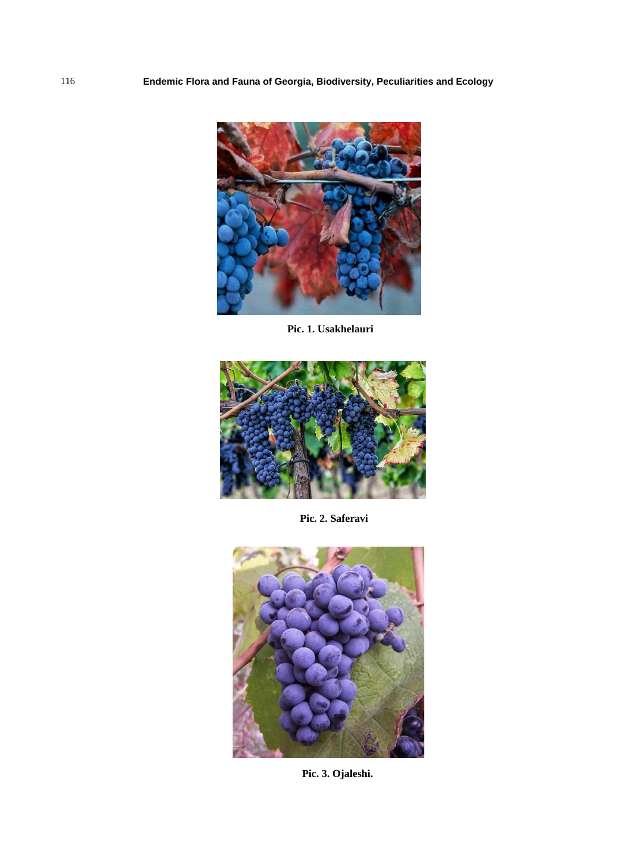

**Pic. 1. Usakhelauri**



**Pic. 2. Saferavi**



**Pic. 3. Ojaleshi.**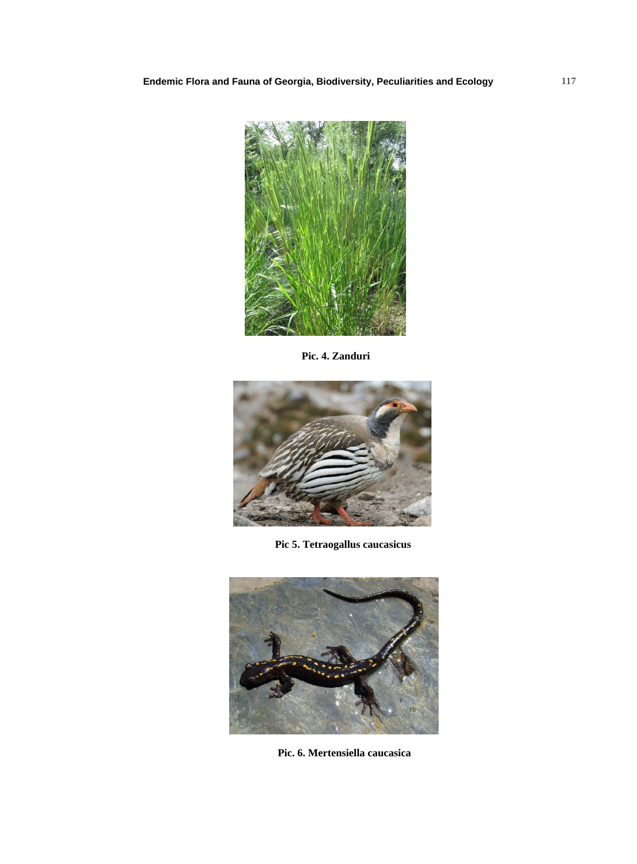

**Pic. 4. Zanduri**



**Pic 5. Tetraogallus caucasicus**



**Pic. 6. Mertensiella caucasica**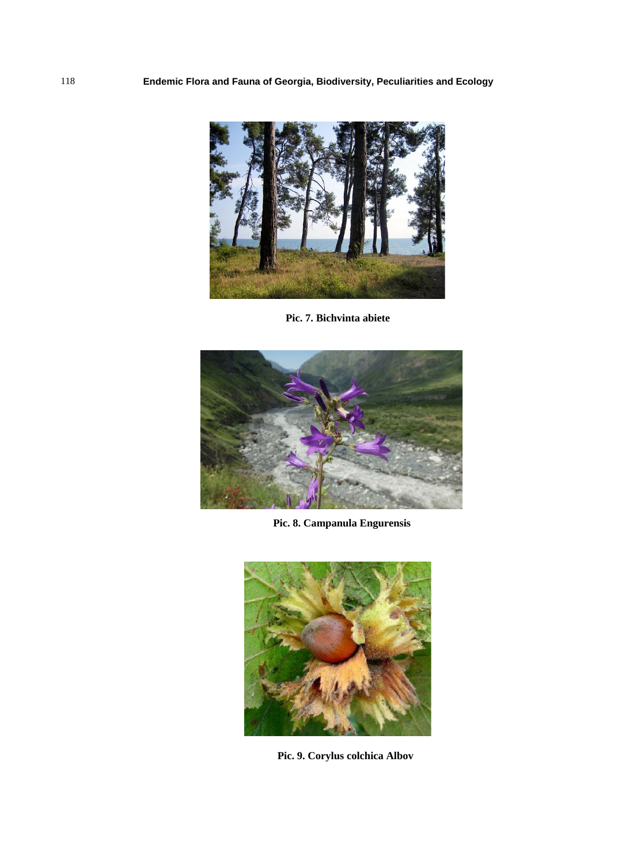

**Pic. 7. Bichvinta abiete**



**Pic. 8. Campanula Engurensis**



**Pic. 9. Corylus colchica Albov**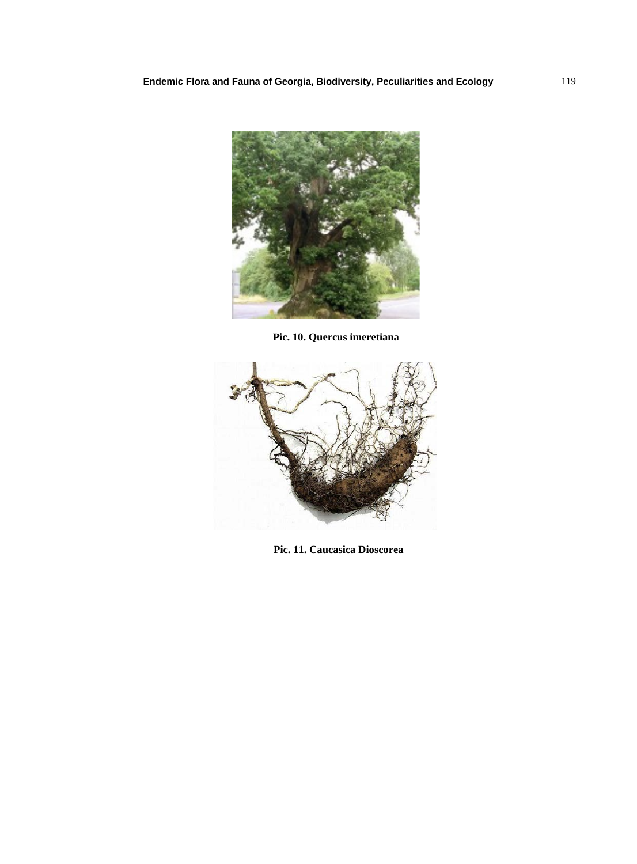

**Pic. 10. Quercus imeretiana**



**Pic. 11. Caucasica Dioscorea**